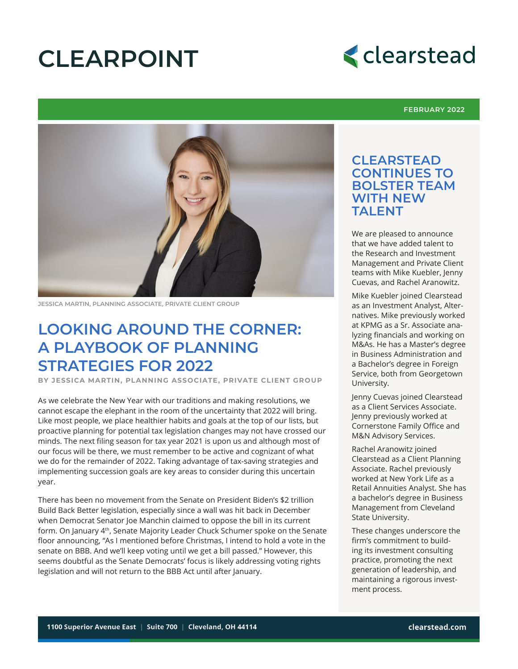# **CLEARPOINT**



#### **FEBRUARY 2022**



**JESSICA MARTIN, PLANNING ASSOCIATE, PRIVATE CLIENT GROUP**

### **LOOKING AROUND THE CORNER: A PLAYBOOK OF PLANNING STRATEGIES FOR 2022**

**BY JESSICA MARTIN, PLANNING ASSOCIATE, PRIVATE CLIENT GROUP**

As we celebrate the New Year with our traditions and making resolutions, we cannot escape the elephant in the room of the uncertainty that 2022 will bring. Like most people, we place healthier habits and goals at the top of our lists, but proactive planning for potential tax legislation changes may not have crossed our minds. The next filing season for tax year 2021 is upon us and although most of our focus will be there, we must remember to be active and cognizant of what we do for the remainder of 2022. Taking advantage of tax-saving strategies and implementing succession goals are key areas to consider during this uncertain year.

There has been no movement from the Senate on President Biden's \$2 trillion Build Back Better legislation, especially since a wall was hit back in December when Democrat Senator Joe Manchin claimed to oppose the bill in its current form. On January 4<sup>th</sup>, Senate Majority Leader Chuck Schumer spoke on the Senate floor announcing, "As I mentioned before Christmas, I intend to hold a vote in the senate on BBB. And we'll keep voting until we get a bill passed." However, this seems doubtful as the Senate Democrats' focus is likely addressing voting rights legislation and will not return to the BBB Act until after January.

### **CLEARSTEAD CONTINUES TO BOLSTER TEAM WITH NEW TAI FNT**

We are pleased to announce that we have added talent to the Research and Investment Management and Private Client teams with Mike Kuebler, Jenny Cuevas, and Rachel Aranowitz.

Mike Kuebler joined Clearstead as an Investment Analyst, Alternatives. Mike previously worked at KPMG as a Sr. Associate analyzing financials and working on M&As. He has a Master's degree in Business Administration and a Bachelor's degree in Foreign Service, both from Georgetown University.

Jenny Cuevas joined Clearstead as a Client Services Associate. Jenny previously worked at Cornerstone Family Office and M&N Advisory Services.

Rachel Aranowitz joined Clearstead as a Client Planning Associate. Rachel previously worked at New York Life as a Retail Annuities Analyst. She has a bachelor's degree in Business Management from Cleveland State University.

These changes underscore the firm's commitment to building its investment consulting practice, promoting the next generation of leadership, and maintaining a rigorous investment process.

1100 Superior Avenue East • Suite 700 • Cleveland, Ohio 44114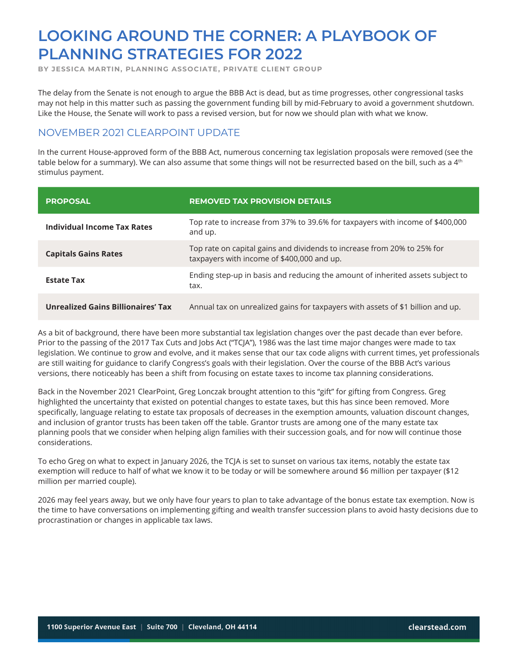**BY JESSICA MARTIN, PLANNING ASSOCIATE, PRIVATE CLIENT GROUP**

The delay from the Senate is not enough to argue the BBB Act is dead, but as time progresses, other congressional tasks may not help in this matter such as passing the government funding bill by mid-February to avoid a government shutdown. Like the House, the Senate will work to pass a revised version, but for now we should plan with what we know.

### NOVEMBER 2021 CLEARPOINT UPDATE

In the current House-approved form of the BBB Act, numerous concerning tax legislation proposals were removed (see the table below for a summary). We can also assume that some things will not be resurrected based on the bill, such as a  $4<sup>th</sup>$ stimulus payment.

| <b>PROPOSAL</b>                           | <b>REMOVED TAX PROVISION DETAILS</b>                                                                                  |
|-------------------------------------------|-----------------------------------------------------------------------------------------------------------------------|
| Individual Income Tax Rates               | Top rate to increase from 37% to 39.6% for taxpayers with income of \$400,000<br>and up.                              |
| <b>Capitals Gains Rates</b>               | Top rate on capital gains and dividends to increase from 20% to 25% for<br>taxpayers with income of \$400,000 and up. |
| <b>Estate Tax</b>                         | Ending step-up in basis and reducing the amount of inherited assets subject to<br>tax.                                |
| <b>Unrealized Gains Billionaires' Tax</b> | Annual tax on unrealized gains for taxpayers with assets of \$1 billion and up.                                       |

As a bit of background, there have been more substantial tax legislation changes over the past decade than ever before. Prior to the passing of the 2017 Tax Cuts and Jobs Act ("TCJA"), 1986 was the last time major changes were made to tax legislation. We continue to grow and evolve, and it makes sense that our tax code aligns with current times, yet professionals are still waiting for guidance to clarify Congress's goals with their legislation. Over the course of the BBB Act's various versions, there noticeably has been a shift from focusing on estate taxes to income tax planning considerations.

Back in the November 2021 ClearPoint, Greg Lonczak brought attention to this "gift" for gifting from Congress. Greg highlighted the uncertainty that existed on potential changes to estate taxes, but this has since been removed. More specifically, language relating to estate tax proposals of decreases in the exemption amounts, valuation discount changes, and inclusion of grantor trusts has been taken off the table. Grantor trusts are among one of the many estate tax planning pools that we consider when helping align families with their succession goals, and for now will continue those considerations.

To echo Greg on what to expect in January 2026, the TCJA is set to sunset on various tax items, notably the estate tax exemption will reduce to half of what we know it to be today or will be somewhere around \$6 million per taxpayer (\$12 million per married couple).

2026 may feel years away, but we only have four years to plan to take advantage of the bonus estate tax exemption. Now is the time to have conversations on implementing gifting and wealth transfer succession plans to avoid hasty decisions due to procrastination or changes in applicable tax laws.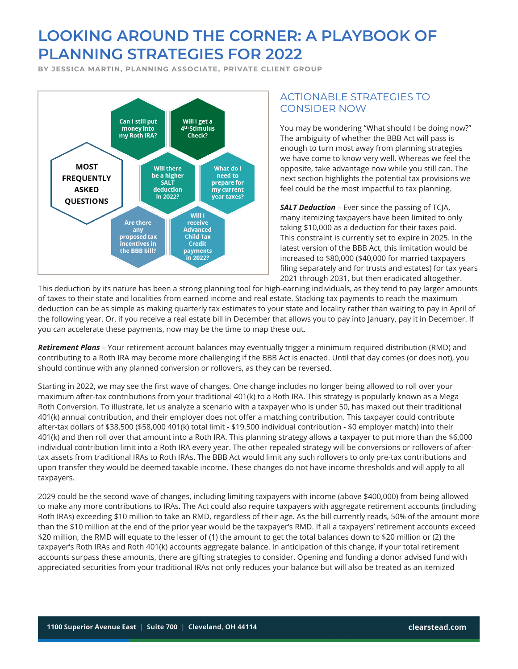**BY JESSICA MARTIN, PLANNING ASSOCIATE, PRIVATE CLIENT GROUP**



#### ACTIONABLE STRATEGIES TO CONSIDER NOW

You may be wondering "What should I be doing now?" The ambiguity of whether the BBB Act will pass is enough to turn most away from planning strategies we have come to know very well. Whereas we feel the opposite, take advantage now while you still can. The next section highlights the potential tax provisions we feel could be the most impactful to tax planning.

**SALT Deduction** – Ever since the passing of TCJA, many itemizing taxpayers have been limited to only taking \$10,000 as a deduction for their taxes paid. This constraint is currently set to expire in 2025. In the latest version of the BBB Act, this limitation would be increased to \$80,000 (\$40,000 for married taxpayers filing separately and for trusts and estates) for tax years 2021 through 2031, but then eradicated altogether.

This deduction by its nature has been a strong planning tool for high-earning individuals, as they tend to pay larger amounts of taxes to their state and localities from earned income and real estate. Stacking tax payments to reach the maximum deduction can be as simple as making quarterly tax estimates to your state and locality rather than waiting to pay in April of the following year. Or, if you receive a real estate bill in December that allows you to pay into January, pay it in December. If you can accelerate these payments, now may be the time to map these out.

*Retirement Plans* – Your retirement account balances may eventually trigger a minimum required distribution (RMD) and contributing to a Roth IRA may become more challenging if the BBB Act is enacted. Until that day comes (or does not), you should continue with any planned conversion or rollovers, as they can be reversed.

Starting in 2022, we may see the first wave of changes. One change includes no longer being allowed to roll over your maximum after-tax contributions from your traditional 401(k) to a Roth IRA. This strategy is popularly known as a Mega Roth Conversion. To illustrate, let us analyze a scenario with a taxpayer who is under 50, has maxed out their traditional 401(k) annual contribution, and their employer does not offer a matching contribution. This taxpayer could contribute after-tax dollars of \$38,500 (\$58,000 401(k) total limit - \$19,500 individual contribution - \$0 employer match) into their 401(k) and then roll over that amount into a Roth IRA. This planning strategy allows a taxpayer to put more than the \$6,000 individual contribution limit into a Roth IRA every year. The other repealed strategy will be conversions or rollovers of aftertax assets from traditional IRAs to Roth IRAs. The BBB Act would limit any such rollovers to only pre-tax contributions and upon transfer they would be deemed taxable income. These changes do not have income thresholds and will apply to all taxpayers.

2029 could be the second wave of changes, including limiting taxpayers with income (above \$400,000) from being allowed to make any more contributions to IRAs. The Act could also require taxpayers with aggregate retirement accounts (including Roth IRAs) exceeding \$10 million to take an RMD, regardless of their age. As the bill currently reads, 50% of the amount more than the \$10 million at the end of the prior year would be the taxpayer's RMD. If all a taxpayers' retirement accounts exceed \$20 million, the RMD will equate to the lesser of (1) the amount to get the total balances down to \$20 million or (2) the taxpayer's Roth IRAs and Roth 401(k) accounts aggregate balance. In anticipation of this change, if your total retirement accounts surpass these amounts, there are gifting strategies to consider. Opening and funding a donor advised fund with appreciated securities from your traditional IRAs not only reduces your balance but will also be treated as an itemized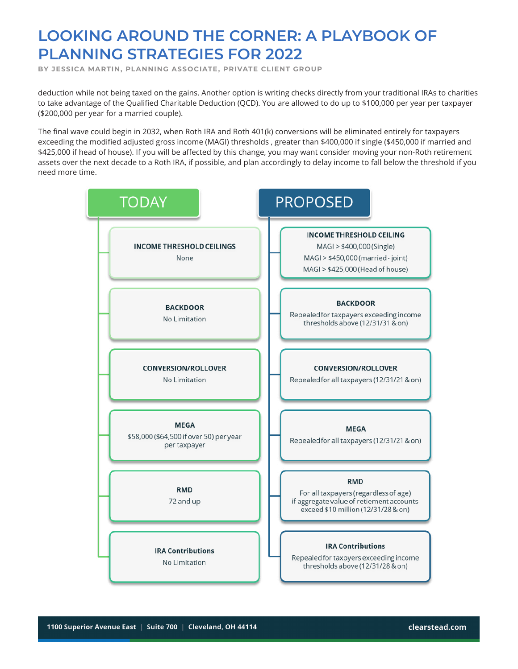**BY JESSICA MARTIN, PLANNING ASSOCIATE, PRIVATE CLIENT GROUP**

deduction while not being taxed on the gains. Another option is writing checks directly from your traditional IRAs to charities to take advantage of the Qualified Charitable Deduction (QCD). You are allowed to do up to \$100,000 per year per taxpayer (\$200,000 per year for a married couple).

The final wave could begin in 2032, when Roth IRA and Roth 401(k) conversions will be eliminated entirely for taxpayers exceeding the modified adjusted gross income (MAGI) thresholds , greater than \$400,000 if single (\$450,000 if married and \$425,000 if head of house). If you will be affected by this change, you may want consider moving your non-Roth retirement assets over the next decade to a Roth IRA, if possible, and plan accordingly to delay income to fall below the threshold if you need more time.

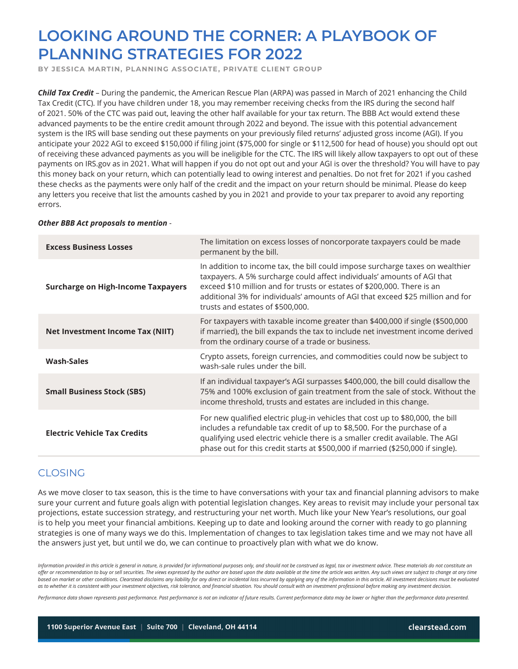**BY JESSICA MARTIN, PLANNING ASSOCIATE, PRIVATE CLIENT GROUP**

*Child Tax Credit* – During the pandemic, the American Rescue Plan (ARPA) was passed in March of 2021 enhancing the Child Tax Credit (CTC). If you have children under 18, you may remember receiving checks from the IRS during the second half of 2021. 50% of the CTC was paid out, leaving the other half available for your tax return. The BBB Act would extend these advanced payments to be the entire credit amount through 2022 and beyond. The issue with this potential advancement system is the IRS will base sending out these payments on your previously filed returns' adjusted gross income (AGI). If you anticipate your 2022 AGI to exceed \$150,000 if filing joint (\$75,000 for single or \$112,500 for head of house) you should opt out of receiving these advanced payments as you will be ineligible for the CTC. The IRS will likely allow taxpayers to opt out of these payments on IRS.gov as in 2021. What will happen if you do not opt out and your AGI is over the threshold? You will have to pay this money back on your return, which can potentially lead to owing interest and penalties. Do not fret for 2021 if you cashed these checks as the payments were only half of the credit and the impact on your return should be minimal. Please do keep any letters you receive that list the amounts cashed by you in 2021 and provide to your tax preparer to avoid any reporting errors.

| <b>Excess Business Losses</b>             | The limitation on excess losses of noncorporate taxpayers could be made<br>permanent by the bill.                                                                                                                                                                                                                                                         |
|-------------------------------------------|-----------------------------------------------------------------------------------------------------------------------------------------------------------------------------------------------------------------------------------------------------------------------------------------------------------------------------------------------------------|
| <b>Surcharge on High-Income Taxpayers</b> | In addition to income tax, the bill could impose surcharge taxes on wealthier<br>taxpayers. A 5% surcharge could affect individuals' amounts of AGI that<br>exceed \$10 million and for trusts or estates of \$200,000. There is an<br>additional 3% for individuals' amounts of AGI that exceed \$25 million and for<br>trusts and estates of \$500,000. |
| Net Investment Income Tax (NIIT)          | For taxpayers with taxable income greater than \$400,000 if single (\$500,000<br>if married), the bill expands the tax to include net investment income derived<br>from the ordinary course of a trade or business.                                                                                                                                       |
| <b>Wash-Sales</b>                         | Crypto assets, foreign currencies, and commodities could now be subject to<br>wash-sale rules under the bill.                                                                                                                                                                                                                                             |
| <b>Small Business Stock (SBS)</b>         | If an individual taxpayer's AGI surpasses \$400,000, the bill could disallow the<br>75% and 100% exclusion of gain treatment from the sale of stock. Without the<br>income threshold, trusts and estates are included in this change.                                                                                                                     |
| <b>Electric Vehicle Tax Credits</b>       | For new qualified electric plug-in vehicles that cost up to \$80,000, the bill<br>includes a refundable tax credit of up to \$8,500. For the purchase of a<br>qualifying used electric vehicle there is a smaller credit available. The AGI<br>phase out for this credit starts at \$500,000 if married (\$250,000 if single).                            |

#### *Other BBB Act proposals to mention -*

#### CLOSING

As we move closer to tax season, this is the time to have conversations with your tax and financial planning advisors to make sure your current and future goals align with potential legislation changes. Key areas to revisit may include your personal tax projections, estate succession strategy, and restructuring your net worth. Much like your New Year's resolutions, our goal is to help you meet your financial ambitions. Keeping up to date and looking around the corner with ready to go planning strategies is one of many ways we do this. Implementation of changes to tax legislation takes time and we may not have all the answers just yet, but until we do, we can continue to proactively plan with what we do know.

Information provided in this article is general in nature, is provided for informational purposes only, and should not be construed as legal, tax or investment advice. These materials do not constitute an *offer or recommendation to buy or sell securities. The views expressed by the author are based upon the data available at the time the article was written. Any such views are subject to change at any time*  based on market or other conditions. Clearstead disclaims any liability for any direct or incidental loss incurred by applying any of the information in this article. All investment decisions must be evaluated *as to whether it is consistent with your investment objectives, risk tolerance, and financial situation. You should consult with an investment professional before making any investment decision.*

*Performance data shown represents past performance. Past performance is not an indicator of future results. Current performance data may be lower or higher than the performance data presented.*